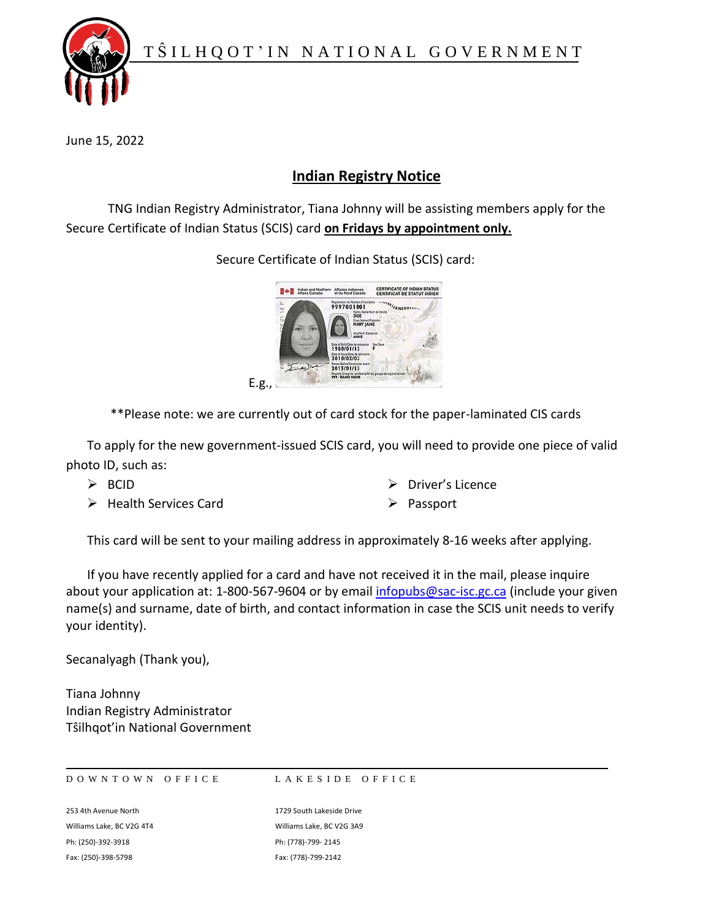

June 15, 2022

## **Indian Registry Notice**

TNG Indian Registry Administrator, Tiana Johnny will be assisting members apply for the Secure Certificate of Indian Status (SCIS) card **on Fridays by appointment only.**



Secure Certificate of Indian Status (SCIS) card:

\*\*Please note: we are currently out of card stock for the paper-laminated CIS cards

To apply for the new government-issued SCIS card, you will need to provide one piece of valid photo ID, such as:

- $\triangleright$  BCID
- ➢ Health Services Card
- ➢ Driver's Licence
- ➢ Passport

This card will be sent to your mailing address in approximately 8-16 weeks after applying.

If you have recently applied for a card and have not received it in the mail, please inquire about your application at: 1-800-567-9604 or by emai[l infopubs@sac-isc.gc.ca](mailto:infopubs@sac-isc.gc.ca) (include your given name(s) and surname, date of birth, and contact information in case the SCIS unit needs to verify your identity).

Secanalyagh (Thank you),

Tiana Johnny Indian Registry Administrator Tŝilhqot'in National Government

DOWNTOWN OFFICE LAKESIDE OFFICE

253 4th Avenue North 1729 South Lakeside Drive Williams Lake, BC V2G 4T4 Williams Lake, BC V2G 3A9 Ph: (250)-392-3918 Ph: (778)-799- 2145 Fax: (250)-398-5798 Fax: (778)-799-2142